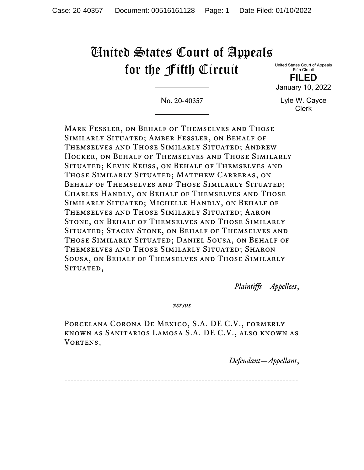# United States Court of Appeals for the Fifth Circuit

United States Court of Appeals Fifth Circuit **FILED**

January 10, 2022

No. 20-40357

Lyle W. Cayce Clerk

Mark Fessler, on Behalf of Themselves and Those Similarly Situated; Amber Fessler, on Behalf of Themselves and Those Similarly Situated; Andrew Hocker, on Behalf of Themselves and Those Similarly Situated; Kevin Reuss, on Behalf of Themselves and Those Similarly Situated; Matthew Carreras, on Behalf of Themselves and Those Similarly Situated; Charles Handly, on Behalf of Themselves and Those Similarly Situated; Michelle Handly, on Behalf of Themselves and Those Similarly Situated; Aaron Stone, on Behalf of Themselves and Those Similarly Situated; Stacey Stone, on Behalf of Themselves and Those Similarly Situated; Daniel Sousa, on Behalf of Themselves and Those Similarly Situated; Sharon Sousa, on Behalf of Themselves and Those Similarly SITUATED,

*Plaintiffs—Appellees*,

*versus*

Porcelana Corona De Mexico, S.A. DE C.V., formerly known as Sanitarios Lamosa S.A. DE C.V., also known as VORTENS,

*Defendant—Appellant*,

---------------------------------------------------------------------------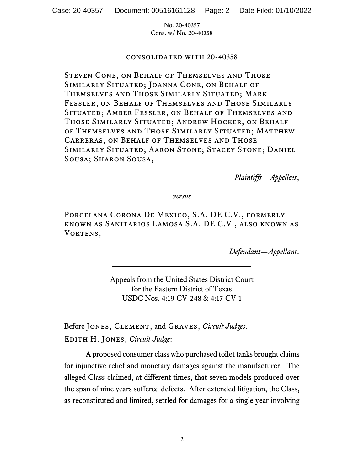#### consolidated with 20-40358

Steven Cone, on Behalf of Themselves and Those Similarly Situated; Joanna Cone, on Behalf of Themselves and Those Similarly Situated; Mark Fessler, on Behalf of Themselves and Those Similarly Situated; Amber Fessler, on Behalf of Themselves and Those Similarly Situated; Andrew Hocker, on Behalf of Themselves and Those Similarly Situated; Matthew Carreras, on Behalf of Themselves and Those Similarly Situated; Aaron Stone; Stacey Stone; Daniel Sousa; Sharon Sousa,

*Plaintiffs—Appellees*,

*versus*

Porcelana Corona De Mexico, S.A. DE C.V., formerly known as Sanitarios Lamosa S.A. DE C.V., also known as VORTENS,

*Defendant—Appellant*.

Appeals from the United States District Court for the Eastern District of Texas USDC Nos. 4:19-CV-248 & 4:17-CV-1

Before Jones, Clement, and Graves, *Circuit Judges*. Edith H. Jones, *Circuit Judge*:

A proposed consumer class who purchased toilet tanks brought claims for injunctive relief and monetary damages against the manufacturer. The alleged Class claimed, at different times, that seven models produced over the span of nine years suffered defects. After extended litigation, the Class, as reconstituted and limited, settled for damages for a single year involving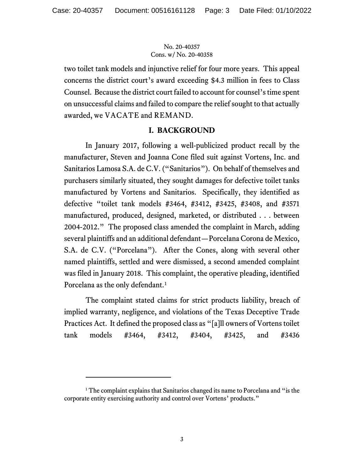two toilet tank models and injunctive relief for four more years. This appeal concerns the district court's award exceeding \$4.3 million in fees to Class Counsel. Because the district court failed to account for counsel'stime spent on unsuccessful claims and failed to compare the relief sought to that actually awarded, we VACATE and REMAND.

## **I. BACKGROUND**

In January 2017, following a well-publicized product recall by the manufacturer, Steven and Joanna Cone filed suit against Vortens, Inc. and Sanitarios Lamosa S.A. de C.V. ("Sanitarios"). On behalf of themselves and purchasers similarly situated, they sought damages for defective toilet tanks manufactured by Vortens and Sanitarios. Specifically, they identified as defective "toilet tank models #3464, #3412, #3425, #3408, and #3571 manufactured, produced, designed, marketed, or distributed . . . between 2004-2012." The proposed class amended the complaint in March, adding several plaintiffs and an additional defendant—Porcelana Corona de Mexico, S.A. de C.V. ("Porcelana"). After the Cones, along with several other named plaintiffs, settled and were dismissed, a second amended complaint was filed in January 2018. This complaint, the operative pleading, identified Porcelana as the only defendant.<sup>[1](#page-2-0)</sup>

The complaint stated claims for strict products liability, breach of implied warranty, negligence, and violations of the Texas Deceptive Trade Practices Act. It defined the proposed class as "[a]ll owners of Vortens toilet tank models #3464, #3412, #3404, #3425, and #3436

<span id="page-2-0"></span><sup>&</sup>lt;sup>1</sup> The complaint explains that Sanitarios changed its name to Porcelana and "is the corporate entity exercising authority and control over Vortens' products."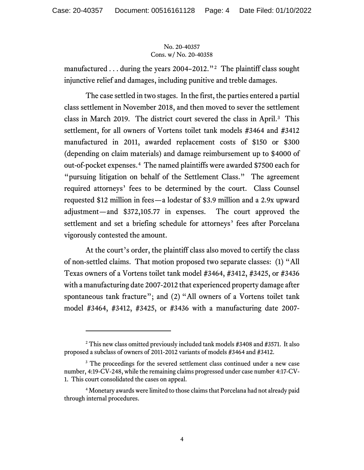manufactured ... during the years 2004–2012."<sup>2</sup> The plaintiff class sought injunctive relief and damages, including punitive and treble damages.

The case settled in two stages. In the first, the parties entered a partial class settlement in November 2018, and then moved to sever the settlement class in March 2019. The district court severed the class in April.<sup>[3](#page-3-1)</sup> This settlement, for all owners of Vortens toilet tank models #3464 and #3412 manufactured in 2011, awarded replacement costs of \$150 or \$300 (depending on claim materials) and damage reimbursement up to \$4000 of out-of-pocket expenses. [4](#page-3-2) The named plaintiffs were awarded \$7500 each for "pursuing litigation on behalf of the Settlement Class." The agreement required attorneys' fees to be determined by the court. Class Counsel requested \$12 million in fees—a lodestar of \$3.9 million and a 2.9x upward adjustment—and \$372,105.77 in expenses. The court approved the settlement and set a briefing schedule for attorneys' fees after Porcelana vigorously contested the amount.

At the court's order, the plaintiff class also moved to certify the class of non-settled claims. That motion proposed two separate classes: (1) "All Texas owners of a Vortens toilet tank model #3464, #3412, #3425, or #3436 with a manufacturing date 2007-2012 that experienced property damage after spontaneous tank fracture"; and (2) "All owners of a Vortens toilet tank model #3464, #3412, #3425, or #3436 with a manufacturing date 2007-

<span id="page-3-0"></span><sup>&</sup>lt;sup>2</sup> This new class omitted previously included tank models #3408 and #3571. It also proposed a subclass of owners of 2011-2012 variants of models #3464 and #3412.

<span id="page-3-1"></span><sup>&</sup>lt;sup>3</sup> The proceedings for the severed settlement class continued under a new case number, 4:19-CV-248, while the remaining claims progressed under case number 4:17-CV-1. This court consolidated the cases on appeal.

<span id="page-3-2"></span><sup>&</sup>lt;sup>4</sup> Monetary awards were limited to those claims that Porcelana had not already paid through internal procedures.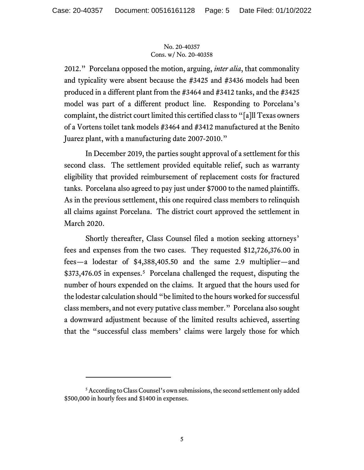2012." Porcelana opposed the motion, arguing, *inter alia*, that commonality and typicality were absent because the #3425 and #3436 models had been produced in a different plant from the #3464 and #3412 tanks, and the #3425 model was part of a different product line. Responding to Porcelana's complaint, the district court limited this certified class to "[a]ll Texas owners of a Vortens toilet tank models #3464 and #3412 manufactured at the Benito Juarez plant, with a manufacturing date 2007-2010."

In December 2019, the parties sought approval of a settlement for this second class. The settlement provided equitable relief, such as warranty eligibility that provided reimbursement of replacement costs for fractured tanks. Porcelana also agreed to pay just under \$7000 to the named plaintiffs. As in the previous settlement, this one required class members to relinquish all claims against Porcelana. The district court approved the settlement in March 2020.

Shortly thereafter, Class Counsel filed a motion seeking attorneys' fees and expenses from the two cases. They requested \$12,726,376.00 in fees—a lodestar of \$4,388,405.50 and the same 2.9 multiplier—and \$373,476.0[5](#page-4-0) in expenses.<sup>5</sup> Porcelana challenged the request, disputing the number of hours expended on the claims. It argued that the hours used for the lodestar calculation should "be limited to the hours worked for successful class members, and not every putative class member." Porcelana also sought a downward adjustment because of the limited results achieved, asserting that the "successful class members' claims were largely those for which

<span id="page-4-0"></span><sup>&</sup>lt;sup>5</sup> According to Class Counsel's own submissions, the second settlement only added \$500,000 in hourly fees and \$1400 in expenses.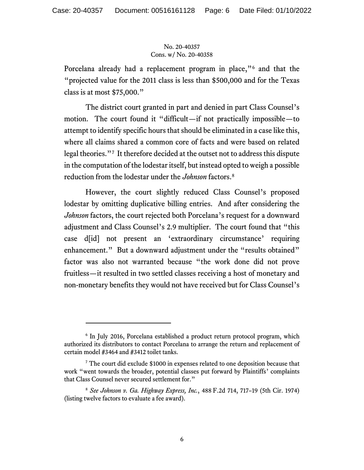Porcelana already had a replacement program in place,"[6](#page-5-0) and that the "projected value for the 2011 class is less than \$500,000 and for the Texas class is at most \$75,000."

The district court granted in part and denied in part Class Counsel's motion. The court found it "difficult—if not practically impossible—to attempt to identify specific hours that should be eliminated in a case like this, where all claims shared a common core of facts and were based on related legal theories."[7](#page-5-1) It therefore decided at the outset not to address this dispute in the computation of the lodestar itself, but instead opted to weigh a possible reduction from the lodestar under the *Johnson* factors.[8](#page-5-2)

However, the court slightly reduced Class Counsel's proposed lodestar by omitting duplicative billing entries. And after considering the *Johnson* factors, the court rejected both Porcelana's request for a downward adjustment and Class Counsel's 2.9 multiplier. The court found that "this case d[id] not present an 'extraordinary circumstance' requiring enhancement." But a downward adjustment under the "results obtained" factor was also not warranted because "the work done did not prove fruitless—it resulted in two settled classes receiving a host of monetary and non-monetary benefits they would not have received but for Class Counsel's

<span id="page-5-0"></span><sup>&</sup>lt;sup>6</sup> In July 2016, Porcelana established a product return protocol program, which authorized its distributors to contact Porcelana to arrange the return and replacement of certain model #3464 and #3412 toilet tanks.

<span id="page-5-1"></span><sup>7</sup> The court did exclude \$1000 in expenses related to one deposition because that work "went towards the broader, potential classes put forward by Plaintiffs' complaints that Class Counsel never secured settlement for."

<span id="page-5-2"></span><sup>8</sup> *See Johnson v. Ga. Highway Express, Inc.*, 488 F.2d 714, 717–19 (5th Cir. 1974) (listing twelve factors to evaluate a fee award).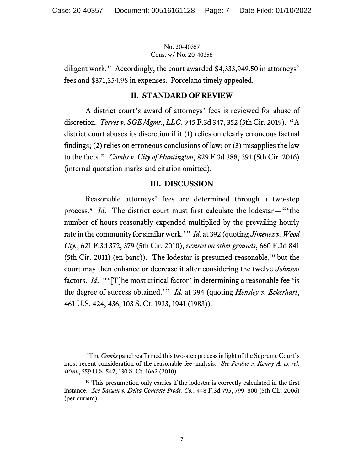diligent work." Accordingly, the court awarded \$4,333,949.50 in attorneys' fees and \$371,354.98 in expenses. Porcelana timely appealed.

#### **II. STANDARD OF REVIEW**

A district court's award of attorneys' fees is reviewed for abuse of discretion. *Torres v. SGE Mgmt.*, *LLC*, 945 F.3d 347, 352 (5th Cir. 2019). "A district court abuses its discretion if it (1) relies on clearly erroneous factual findings; (2) relies on erroneous conclusions of law; or (3) misapplies the law to the facts." *Combs v. City of Huntington*, 829 F.3d 388, 391 (5th Cir. 2016) (internal quotation marks and citation omitted).

#### **III. DISCUSSION**

Reasonable attorneys' fees are determined through a two-step process.[9](#page-6-0) *Id*. The district court must first calculate the lodestar—"'the number of hours reasonably expended multiplied by the prevailing hourly rate in the community for similar work.'" *Id.* at 392 (quoting *Jimenez v. Wood Cty.*, 621 F.3d 372, 379 (5th Cir. 2010), *revised on other grounds*, 660 F.3d 841 (5th Cir. 2011) (en banc)). The lodestar is presumed reasonable,<sup>[10](#page-6-1)</sup> but the court may then enhance or decrease it after considering the twelve *Johnson* factors. *Id*. "'[T]he most critical factor' in determining a reasonable fee 'is the degree of success obtained.'" *Id*. at 394 (quoting *Hensley v. Eckerhart*, 461 U.S. 424, 436, 103 S. Ct. 1933, 1941 (1983)).

<span id="page-6-0"></span><sup>9</sup> The *Combs* panel reaffirmed this two-step process in light of the Supreme Court's most recent consideration of the reasonable fee analysis. *See Perdue v. Kenny A. ex rel. Winn*, 559 U.S. 542, 130 S. Ct. 1662 (2010).

<span id="page-6-1"></span><sup>&</sup>lt;sup>10</sup> This presumption only carries if the lodestar is correctly calculated in the first instance. *See Saizan v. Delta Concrete Prods. Co.*, 448 F.3d 795, 799–800 (5th Cir. 2006) (per curiam).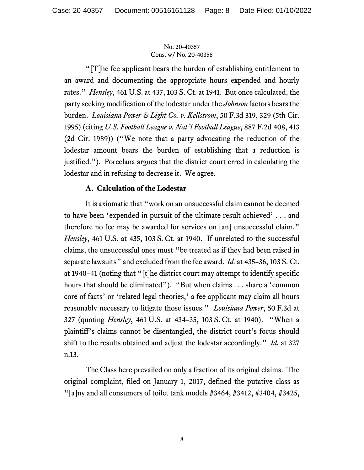"[T]he fee applicant bears the burden of establishing entitlement to an award and documenting the appropriate hours expended and hourly rates." *Hensley*, 461 U.S. at 437, 103 S. Ct. at 1941. But once calculated, the party seeking modification of the lodestar under the *Johnson* factors bears the burden. *Louisiana Power & Light Co. v. Kellstrom*, 50 F.3d 319, 329 (5th Cir. 1995) (citing *U.S. Football League v. Nat'l Football League*, 887 F.2d 408, 413 (2d Cir. 1989)) ("We note that a party advocating the reduction of the lodestar amount bears the burden of establishing that a reduction is justified."). Porcelana argues that the district court erred in calculating the lodestar and in refusing to decrease it. We agree.

## **A. Calculation of the Lodestar**

It is axiomatic that "work on an unsuccessful claim cannot be deemed to have been 'expended in pursuit of the ultimate result achieved' . . . and therefore no fee may be awarded for services on [an] unsuccessful claim." *Hensley*, 461 U.S. at 435, 103 S. Ct. at 1940. If unrelated to the successful claims, the unsuccessful ones must "be treated as if they had been raised in separate lawsuits" and excluded from the fee award. *Id.* at 435–36, 103 S. Ct. at 1940–41 (noting that "[t]he district court may attempt to identify specific hours that should be eliminated"). "But when claims . . . share a 'common core of facts' or 'related legal theories,' a fee applicant may claim all hours reasonably necessary to litigate those issues." *Louisiana Power*, 50 F.3d at 327 (quoting *Hensley*, 461 U.S. at 434–35, 103 S. Ct. at 1940). "When a plaintiff's claims cannot be disentangled, the district court's focus should shift to the results obtained and adjust the lodestar accordingly." *Id.* at 327 n.13.

The Class here prevailed on only a fraction of its original claims. The original complaint, filed on January 1, 2017, defined the putative class as "[a]ny and all consumers of toilet tank models #3464, #3412, #3404, #3425,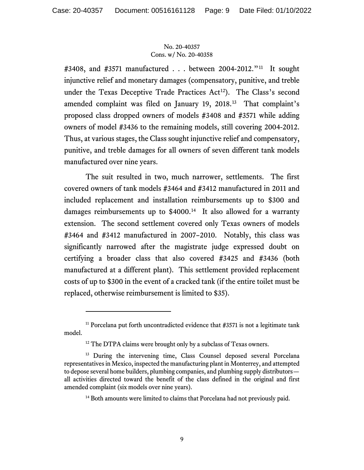#3408, and #3571 manufactured . . . between 2004-2012."[11](#page-8-0) It sought injunctive relief and monetary damages (compensatory, punitive, and treble under the Texas Deceptive Trade Practices Act<sup>12</sup>). The Class's second amended complaint was filed on January 19, 2018.[13](#page-8-2) That complaint's proposed class dropped owners of models #3408 and #3571 while adding owners of model #3436 to the remaining models, still covering 2004-2012. Thus, at various stages, the Class sought injunctive relief and compensatory, punitive, and treble damages for all owners of seven different tank models manufactured over nine years.

The suit resulted in two, much narrower, settlements. The first covered owners of tank models #3464 and #3412 manufactured in 2011 and included replacement and installation reimbursements up to \$300 and damages reimbursements up to \$4000.<sup>14</sup> It also allowed for a warranty extension. The second settlement covered only Texas owners of models #3464 and #3412 manufactured in 2007–2010. Notably, this class was significantly narrowed after the magistrate judge expressed doubt on certifying a broader class that also covered #3425 and #3436 (both manufactured at a different plant). This settlement provided replacement costs of up to \$300 in the event of a cracked tank (if the entire toilet must be replaced, otherwise reimbursement is limited to \$35).

<span id="page-8-0"></span> $11$  Porcelana put forth uncontradicted evidence that #3571 is not a legitimate tank model.

<sup>&</sup>lt;sup>12</sup> The DTPA claims were brought only by a subclass of Texas owners.

<span id="page-8-3"></span><span id="page-8-2"></span><span id="page-8-1"></span><sup>&</sup>lt;sup>13</sup> During the intervening time, Class Counsel deposed several Porcelana representatives in Mexico, inspected the manufacturing plant in Monterrey, and attempted to depose several home builders, plumbing companies, and plumbing supply distributors all activities directed toward the benefit of the class defined in the original and first amended complaint (six models over nine years).

<sup>&</sup>lt;sup>14</sup> Both amounts were limited to claims that Porcelana had not previously paid.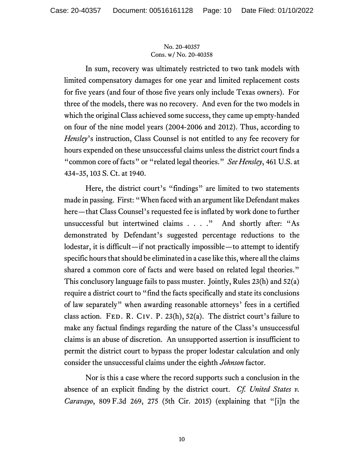In sum, recovery was ultimately restricted to two tank models with limited compensatory damages for one year and limited replacement costs for five years (and four of those five years only include Texas owners). For three of the models, there was no recovery. And even for the two models in which the original Class achieved some success, they came up empty-handed on four of the nine model years (2004-2006 and 2012). Thus, according to *Hensley*'s instruction, Class Counsel is not entitled to any fee recovery for hours expended on these unsuccessful claims unless the district court finds a "common core of facts" or "related legal theories." *See Hensley*, 461 U.S. at 434–35, 103 S. Ct. at 1940.

Here, the district court's "findings" are limited to two statements made in passing. First: "When faced with an argument like Defendant makes here—that Class Counsel's requested fee is inflated by work done to further unsuccessful but intertwined claims . . . ." And shortly after: "As demonstrated by Defendant's suggested percentage reductions to the lodestar, it is difficult—if not practically impossible—to attempt to identify specific hours that should be eliminated in a case like this, where all the claims shared a common core of facts and were based on related legal theories." This conclusory language fails to pass muster. Jointly, Rules 23(h) and 52(a) require a district court to "find the facts specifically and state its conclusions of law separately" when awarding reasonable attorneys' fees in a certified class action. FED. R. CIV. P. 23(h), 52(a). The district court's failure to make any factual findings regarding the nature of the Class's unsuccessful claims is an abuse of discretion. An unsupported assertion is insufficient to permit the district court to bypass the proper lodestar calculation and only consider the unsuccessful claims under the eighth *Johnson* factor.

Nor is this a case where the record supports such a conclusion in the absence of an explicit finding by the district court. *Cf. United States v. Caravayo*, 809 F.3d 269, 275 (5th Cir. 2015) (explaining that "[i]n the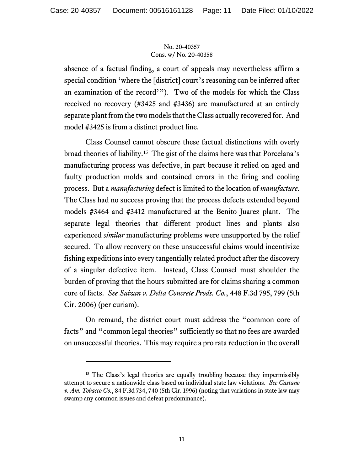absence of a factual finding, a court of appeals may nevertheless affirm a special condition 'where the [district] court's reasoning can be inferred after an examination of the record'"). Two of the models for which the Class received no recovery (#3425 and #3436) are manufactured at an entirely separate plant from the two models that the Class actually recovered for. And model #3425 is from a distinct product line.

Class Counsel cannot obscure these factual distinctions with overly broad theories of liability.[15](#page-10-0) The gist of the claims here was that Porcelana's manufacturing process was defective, in part because it relied on aged and faulty production molds and contained errors in the firing and cooling process. But a *manufacturing* defect is limited to the location of *manufacture*. The Class had no success proving that the process defects extended beyond models #3464 and #3412 manufactured at the Benito Juarez plant. The separate legal theories that different product lines and plants also experienced *similar* manufacturing problems were unsupported by the relief secured. To allow recovery on these unsuccessful claims would incentivize fishing expeditions into every tangentially related product after the discovery of a singular defective item. Instead, Class Counsel must shoulder the burden of proving that the hours submitted are for claims sharing a common core of facts. *See Saizan v. Delta Concrete Prods. Co.*, 448 F.3d 795, 799 (5th Cir. 2006) (per curiam).

On remand, the district court must address the "common core of facts" and "common legal theories" sufficiently so that no fees are awarded on unsuccessful theories. This may require a pro rata reduction in the overall

<span id="page-10-0"></span><sup>&</sup>lt;sup>15</sup> The Class's legal theories are equally troubling because they impermissibly attempt to secure a nationwide class based on individual state law violations. *See Castano v. Am. Tobacco Co.*, 84 F.3d 734, 740 (5th Cir. 1996) (noting that variations in state law may swamp any common issues and defeat predominance).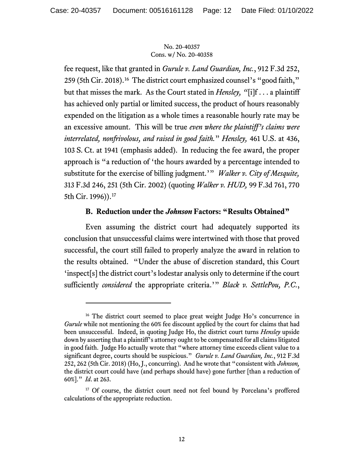fee request, like that granted in *Gurule v. Land Guardian, Inc.*, 912 F.3d 252, 259 (5th Cir. 2018).[16](#page-11-0) The district court emphasized counsel's "good faith," but that misses the mark. As the Court stated in *Hensley, "*[i]f . . . a plaintiff has achieved only partial or limited success, the product of hours reasonably expended on the litigation as a whole times a reasonable hourly rate may be an excessive amount. This will be true *even where the plaintiff's claims were interrelated, nonfrivolous, and raised in good faith.*" *Hensley,* 461 U.S. at 436, 103 S. Ct. at 1941 (emphasis added). In reducing the fee award, the proper approach is "a reduction of 'the hours awarded by a percentage intended to substitute for the exercise of billing judgment.'" *Walker v. City of Mesquite,*  313 F.3d 246, 251 (5th Cir. 2002) (quoting *Walker v. HUD,* 99 F.3d 761, 770 5th Cir. 1996)).<sup>[17](#page-11-1)</sup>

## **B. Reduction under the** *Johnson* **Factors: "Results Obtained"**

Even assuming the district court had adequately supported its conclusion that unsuccessful claims were intertwined with those that proved successful, the court still failed to properly analyze the award in relation to the results obtained. "Under the abuse of discretion standard, this Court 'inspect[s] the district court's lodestar analysis only to determine if the court sufficiently *considered* the appropriate criteria.'" *Black v. SettlePou, P.C.*,

<span id="page-11-0"></span><sup>&</sup>lt;sup>16</sup> The district court seemed to place great weight Judge Ho's concurrence in *Gurule* while not mentioning the 60% fee discount applied by the court for claims that had been unsuccessful. Indeed, in quoting Judge Ho, the district court turns *Hensley* upside down by asserting that a plaintiff's attorney ought to be compensated for all claims litigated in good faith. Judge Ho actually wrote that "where attorney time exceeds client value to a significant degree, courts should be suspicious." *Gurule v. Land Guardian, Inc.*, 912 F.3d 252, 262 (5th Cir. 2018) (Ho, J., concurring). And he wrote that "consistent with *Johnson,*  the district court could have (and perhaps should have) gone further [than a reduction of 60%]." *Id*. at 263.

<span id="page-11-1"></span><sup>&</sup>lt;sup>17</sup> Of course, the district court need not feel bound by Porcelana's proffered calculations of the appropriate reduction.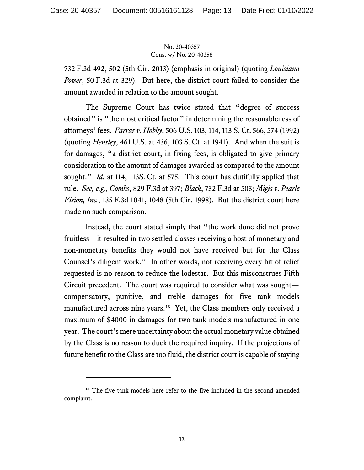732 F.3d 492, 502 (5th Cir. 2013) (emphasis in original) (quoting *Louisiana Power*, 50 F.3d at 329). But here, the district court failed to consider the amount awarded in relation to the amount sought.

The Supreme Court has twice stated that "degree of success obtained" is "the most critical factor" in determining the reasonableness of attorneys' fees. *Farrar v. Hobby*, 506 U.S. 103, 114, 113 S. Ct. 566, 574 (1992) (quoting *Hensley*, 461 U.S. at 436, 103 S. Ct. at 1941). And when the suit is for damages, "a district court, in fixing fees, is obligated to give primary consideration to the amount of damages awarded as compared to the amount sought." *Id.* at 114, 113S. Ct. at 575. This court has dutifully applied that rule. *See, e.g.*, *Combs*, 829 F.3d at 397; *Black*, 732 F.3d at 503; *Migis v. Pearle Vision, Inc.*, 135 F.3d 1041, 1048 (5th Cir. 1998). But the district court here made no such comparison.

Instead, the court stated simply that "the work done did not prove fruitless—it resulted in two settled classes receiving a host of monetary and non-monetary benefits they would not have received but for the Class Counsel's diligent work." In other words, not receiving every bit of relief requested is no reason to reduce the lodestar. But this misconstrues Fifth Circuit precedent. The court was required to consider what was sought compensatory, punitive, and treble damages for five tank models manufactured across nine years.[18](#page-12-0) Yet, the Class members only received a maximum of \$4000 in damages for two tank models manufactured in one year. The court's mere uncertainty about the actual monetary value obtained by the Class is no reason to duck the required inquiry. If the projections of future benefit to the Class are too fluid, the district court is capable of staying

<span id="page-12-0"></span><sup>&</sup>lt;sup>18</sup> The five tank models here refer to the five included in the second amended complaint.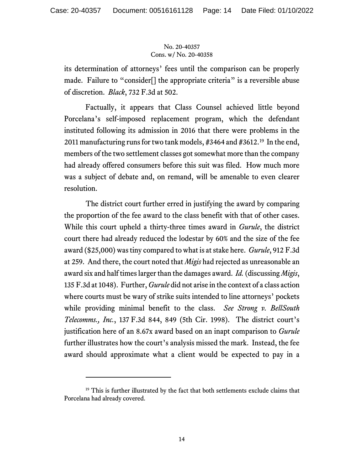its determination of attorneys' fees until the comparison can be properly made. Failure to "consider<sup>[]</sup> the appropriate criteria" is a reversible abuse of discretion. *Black*, 732 F.3d at 502.

Factually, it appears that Class Counsel achieved little beyond Porcelana's self-imposed replacement program, which the defendant instituted following its admission in 2016 that there were problems in the 2011 manufacturing runs for two tank models, #3464 and #3612.[19](#page-13-0) In the end, members of the two settlement classes got somewhat more than the company had already offered consumers before this suit was filed. How much more was a subject of debate and, on remand, will be amenable to even clearer resolution.

The district court further erred in justifying the award by comparing the proportion of the fee award to the class benefit with that of other cases. While this court upheld a thirty-three times award in *Gurule*, the district court there had already reduced the lodestar by 60% and the size of the fee award (\$25,000) wastiny compared to what is at stake here. *Gurule*, 912 F.3d at 259. And there, the court noted that *Migis* had rejected as unreasonable an award six and half times larger than the damages award. *Id.*(discussing *Migis*, 135 F.3d at 1048). Further, *Gurule* did not arise in the context of a class action where courts must be wary of strike suits intended to line attorneys' pockets while providing minimal benefit to the class. *See Strong v. BellSouth Telecomms., Inc.*, 137 F.3d 844, 849 (5th Cir. 1998). The district court's justification here of an 8.67x award based on an inapt comparison to *Gurule* further illustrates how the court's analysis missed the mark. Instead, the fee award should approximate what a client would be expected to pay in a

<span id="page-13-0"></span><sup>&</sup>lt;sup>19</sup> This is further illustrated by the fact that both settlements exclude claims that Porcelana had already covered.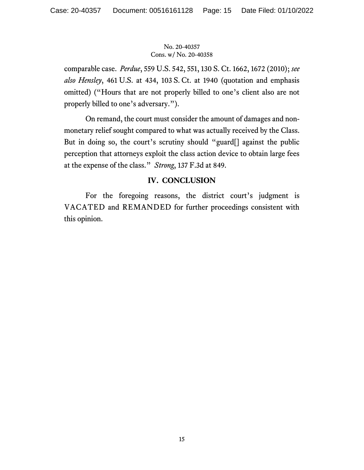comparable case. *Perdue*, 559 U.S. 542, 551, 130 S. Ct. 1662, 1672 (2010); *see also Hensley*, 461 U.S. at 434, 103 S. Ct. at 1940 (quotation and emphasis omitted) ("Hours that are not properly billed to one's client also are not properly billed to one's adversary.").

On remand, the court must consider the amount of damages and nonmonetary relief sought compared to what was actually received by the Class. But in doing so, the court's scrutiny should "guard[] against the public perception that attorneys exploit the class action device to obtain large fees at the expense of the class." *Strong*, 137 F.3d at 849.

## **IV. CONCLUSION**

For the foregoing reasons, the district court's judgment is VACATED and REMANDED for further proceedings consistent with this opinion.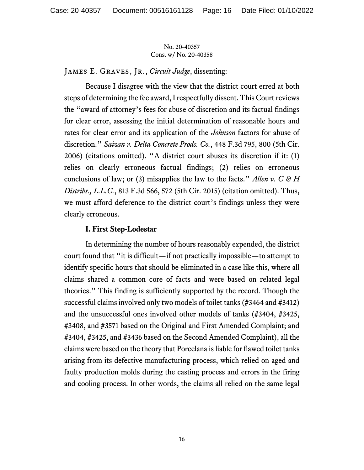James E. Graves, Jr., *Circuit Judge*, dissenting:

Because I disagree with the view that the district court erred at both steps of determining the fee award, I respectfully dissent. This Court reviews the "award of attorney's fees for abuse of discretion and its factual findings for clear error, assessing the initial determination of reasonable hours and rates for clear error and its application of the *Johnson* factors for abuse of discretion." *Saizan v. Delta Concrete Prods. Co.*, 448 F.3d 795, 800 (5th Cir. 2006) (citations omitted). "A district court abuses its discretion if it: (1) relies on clearly erroneous factual findings; (2) relies on erroneous conclusions of law; or (3) misapplies the law to the facts." *Allen v. C & H Distribs., L.L.C.*, 813 F.3d 566, 572 (5th Cir. 2015) (citation omitted). Thus, we must afford deference to the district court's findings unless they were clearly erroneous.

### **I. First Step-Lodestar**

In determining the number of hours reasonably expended, the district court found that "it is difficult—if not practically impossible—to attempt to identify specific hours that should be eliminated in a case like this, where all claims shared a common core of facts and were based on related legal theories." This finding is sufficiently supported by the record. Though the successful claims involved only two models of toilet tanks (#3464 and #3412) and the unsuccessful ones involved other models of tanks (#3404, #3425, #3408, and #3571 based on the Original and First Amended Complaint; and #3404, #3425, and #3436 based on the Second Amended Complaint), all the claims were based on the theory that Porcelana is liable for flawed toilet tanks arising from its defective manufacturing process, which relied on aged and faulty production molds during the casting process and errors in the firing and cooling process. In other words, the claims all relied on the same legal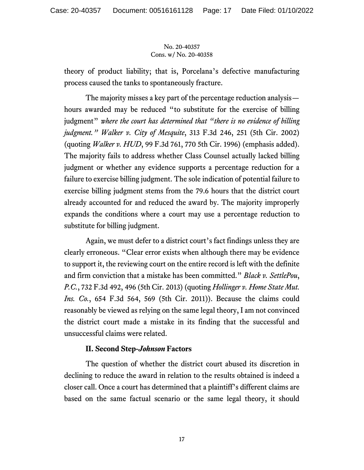theory of product liability; that is, Porcelana's defective manufacturing process caused the tanks to spontaneously fracture.

The majority misses a key part of the percentage reduction analysis hours awarded may be reduced "to substitute for the exercise of billing judgment" *where the court has determined that "there is no evidence of billing judgment." Walker v. City of Mesquite*, 313 F.3d 246, 251 (5th Cir. 2002) (quoting *Walker v. HUD*, 99 F.3d 761, 770 5th Cir. 1996) (emphasis added). The majority fails to address whether Class Counsel actually lacked billing judgment or whether any evidence supports a percentage reduction for a failure to exercise billing judgment. The sole indication of potential failure to exercise billing judgment stems from the 79.6 hours that the district court already accounted for and reduced the award by. The majority improperly expands the conditions where a court may use a percentage reduction to substitute for billing judgment.

Again, we must defer to a district court's fact findings unless they are clearly erroneous. "Clear error exists when although there may be evidence to support it, the reviewing court on the entire record is left with the definite and firm conviction that a mistake has been committed." *Black v. SettlePou*, *P.C.*, 732 F.3d 492, 496 (5th Cir. 2013) (quoting *Hollinger v. Home State Mut. Ins. Co.*, 654 F.3d 564, 569 (5th Cir. 2011)). Because the claims could reasonably be viewed as relying on the same legal theory, I am not convinced the district court made a mistake in its finding that the successful and unsuccessful claims were related.

## **II. Second Step-***Johnson* **Factors**

The question of whether the district court abused its discretion in declining to reduce the award in relation to the results obtained is indeed a closer call. Once a court has determined that a plaintiff's different claims are based on the same factual scenario or the same legal theory, it should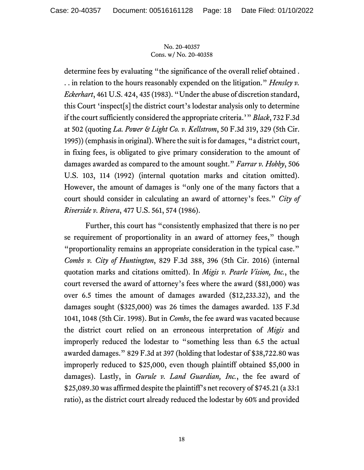determine fees by evaluating "the significance of the overall relief obtained . . . in relation to the hours reasonably expended on the litigation." *Hensley v. Eckerhart*, 461 U.S. 424, 435 (1983). "Under the abuse of discretion standard, this Court 'inspect[s] the district court's lodestar analysis only to determine if the court sufficiently considered the appropriate criteria.'" *Black*, 732 F.3d at 502 (quoting *La. Power & Light Co. v. Kellstrom*, 50 F.3d 319, 329 (5th Cir. 1995)) (emphasis in original). Where the suit is for damages, "a district court, in fixing fees, is obligated to give primary consideration to the amount of damages awarded as compared to the amount sought." *Farrar v. Hobby*, 506 U.S. 103, 114 (1992) (internal quotation marks and citation omitted). However, the amount of damages is "only one of the many factors that a court should consider in calculating an award of attorney's fees." *City of Riverside v. Rivera*, 477 U.S. 561, 574 (1986).

Further, this court has "consistently emphasized that there is no per se requirement of proportionality in an award of attorney fees," though "proportionality remains an appropriate consideration in the typical case." *Combs v. City of Huntington*, 829 F.3d 388, 396 (5th Cir. 2016) (internal quotation marks and citations omitted). In *Migis v. Pearle Vision, Inc.*, the court reversed the award of attorney's fees where the award (\$81,000) was over 6.5 times the amount of damages awarded (\$12,233.32), and the damages sought (\$325,000) was 26 times the damages awarded. 135 F.3d 1041, 1048 (5th Cir. 1998). But in *Combs*, the fee award was vacated because the district court relied on an erroneous interpretation of *Migis* and improperly reduced the lodestar to "something less than 6.5 the actual awarded damages." 829 F.3d at 397 (holding that lodestar of \$38,722.80 was improperly reduced to \$25,000, even though plaintiff obtained \$5,000 in damages). Lastly, in *Gurule v. Land Guardian, Inc.*, the fee award of \$25,089.30 was affirmed despite the plaintiff's net recovery of \$745.21 (a 33:1 ratio), as the district court already reduced the lodestar by 60% and provided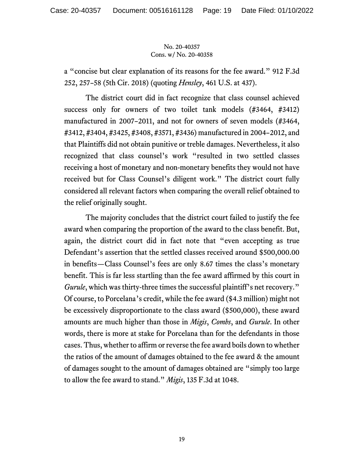a "concise but clear explanation of its reasons for the fee award." 912 F.3d 252, 257–58 (5th Cir. 2018) (quoting *Hensley*, 461 U.S. at 437).

The district court did in fact recognize that class counsel achieved success only for owners of two toilet tank models (#3464, #3412) manufactured in 2007–2011, and not for owners of seven models (#3464, #3412, #3404, #3425, #3408, #3571, #3436) manufactured in 2004–2012, and that Plaintiffs did not obtain punitive or treble damages. Nevertheless, it also recognized that class counsel's work "resulted in two settled classes receiving a host of monetary and non-monetary benefits they would not have received but for Class Counsel's diligent work." The district court fully considered all relevant factors when comparing the overall relief obtained to the relief originally sought.

The majority concludes that the district court failed to justify the fee award when comparing the proportion of the award to the class benefit. But, again, the district court did in fact note that "even accepting as true Defendant's assertion that the settled classes received around \$500,000.00 in benefits—Class Counsel's fees are only 8.67 times the class's monetary benefit. This is far less startling than the fee award affirmed by this court in *Gurule*, which was thirty-three times the successful plaintiff's net recovery." Of course, to Porcelana's credit, while the fee award (\$4.3 million) might not be excessively disproportionate to the class award (\$500,000), these award amounts are much higher than those in *Migis*, *Combs*, and *Gurule*. In other words, there is more at stake for Porcelana than for the defendants in those cases. Thus, whether to affirm or reverse the fee award boils down to whether the ratios of the amount of damages obtained to the fee award & the amount of damages sought to the amount of damages obtained are "simply too large to allow the fee award to stand." *Migis*, 135 F.3d at 1048.